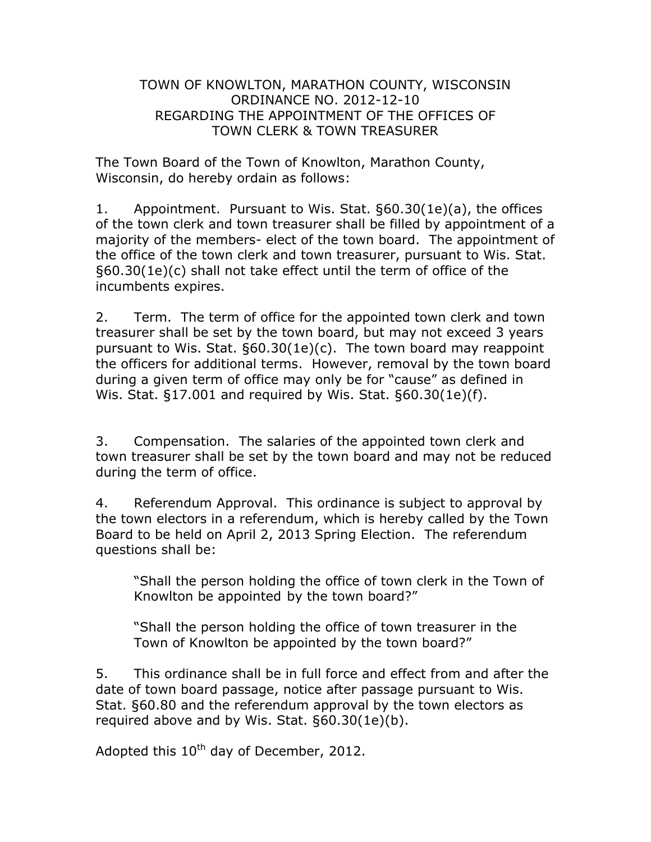## TOWN OF KNOWLTON, MARATHON COUNTY, WISCONSIN ORDINANCE NO. 2012-12-10 REGARDING THE APPOINTMENT OF THE OFFICES OF TOWN CLERK & TOWN TREASURER

The Town Board of the Town of Knowlton, Marathon County, Wisconsin, do hereby ordain as follows:

1. Appointment. Pursuant to Wis. Stat. §60.30(1e)(a), the offices of the town clerk and town treasurer shall be filled by appointment of a majority of the members- elect of the town board. The appointment of the office of the town clerk and town treasurer, pursuant to Wis. Stat. §60.30(1e)(c) shall not take effect until the term of office of the incumbents expires.

2. Term. The term of office for the appointed town clerk and town treasurer shall be set by the town board, but may not exceed 3 years pursuant to Wis. Stat. §60.30(1e)(c). The town board may reappoint the officers for additional terms. However, removal by the town board during a given term of office may only be for "cause" as defined in Wis. Stat. §17.001 and required by Wis. Stat. §60.30(1e)(f).

3. Compensation. The salaries of the appointed town clerk and town treasurer shall be set by the town board and may not be reduced during the term of office.

4. Referendum Approval. This ordinance is subject to approval by the town electors in a referendum, which is hereby called by the Town Board to be held on April 2, 2013 Spring Election. The referendum questions shall be:

"Shall the person holding the office of town clerk in the Town of Knowlton be appointed by the town board?"

"Shall the person holding the office of town treasurer in the Town of Knowlton be appointed by the town board?"

5. This ordinance shall be in full force and effect from and after the date of town board passage, notice after passage pursuant to Wis. Stat. §60.80 and the referendum approval by the town electors as required above and by Wis. Stat. §60.30(1e)(b).

Adopted this 10<sup>th</sup> day of December, 2012.